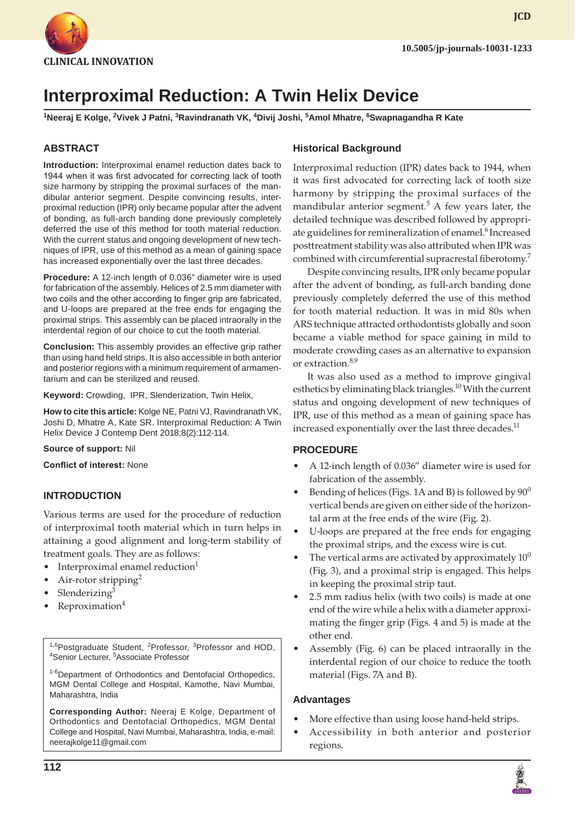

# **Interproximal Reduction: A Twin Helix Device**

**1 Neeraj E Kolge, 2 Vivek J Patni, 3 Ravindranath VK, 4 Divij Joshi, 5 Amol Mhatre, 6 Swapnagandha R Kate**

# **ABSTRACT**

**Introduction:** Interproximal enamel reduction dates back to 1944 when it was first advocated for correcting lack of tooth size harmony by stripping the proximal surfaces of the mandibular anterior segment. Despite convincing results, interproximal reduction (IPR) only became popular after the advent of bonding, as full-arch banding done previously completely deferred the use of this method for tooth material reduction. With the current status and ongoing development of new techniques of IPR, use of this method as a mean of gaining space has increased exponentially over the last three decades.

**Procedure:** A 12-inch length of 0.036" diameter wire is used for fabrication of the assembly. Helices of 2.5 mm diameter with two coils and the other according to finger grip are fabricated, and U-loops are prepared at the free ends for engaging the proximal strips. This assembly can be placed intraorally in the interdental region of our choice to cut the tooth material.

**Conclusion:** This assembly provides an effective grip rather than using hand held strips. It is also accessible in both anterior and posterior regions with a minimum requirement of armamentarium and can be sterilized and reused.

**Keyword:** Crowding, IPR, Slenderization, Twin Helix,

**How to cite this article:** Kolge NE, Patni VJ, Ravindranath VK, Joshi D, Mhatre A, Kate SR. Interproximal Reduction: A Twin Helix Device J Contemp Dent 2018;8(2):112-114.

### **Source of support:** Nil

**Conflict of interest:** None

### **INTRODUCTION**

Various terms are used for the procedure of reduction of interproximal tooth material which in turn helps in attaining a good alignment and long-term stability of treatment goals. They are as follows:

- Interproximal enamel reduction $1$
- Air-rotor stripping<sup>2</sup>
- Slenderizing $3$
- $Reproximation<sup>4</sup>$

<sup>1,6</sup>Postgraduate Student, <sup>2</sup>Professor, <sup>3</sup>Professor and HOD, Senior Lecturer, <sup>5</sup>Associate Professor

1-6Department of Orthodontics and Dentofacial Orthopedics, MGM Dental College and Hospital, Kamothe, Navi Mumbai, Maharashtra, India

**Corresponding Author:** Neeraj E Kolge, Department of Orthodontics and Dentofacial Orthopedics, MGM Dental College and Hospital, Navi Mumbai, Maharashtra, India, e-mail: neerajkolge11@gmail.com

**Historical Background**

Interproximal reduction (IPR) dates back to 1944, when it was first advocated for correcting lack of tooth size harmony by stripping the proximal surfaces of the mandibular anterior segment.<sup>5</sup> A few years later, the detailed technique was described followed by appropriate guidelines for remineralization of enamel.<sup>6</sup> Increased posttreatment stability was also attributed when IPR was combined with circumferential supracrestal fiberotomy.<sup>7</sup>

Despite convincing results, IPR only became popular after the advent of bonding, as full-arch banding done previously completely deferred the use of this method for tooth material reduction. It was in mid 80s when ARS technique attracted orthodontists globally and soon became a viable method for space gaining in mild to moderate crowding cases as an alternative to expansion or extraction.8,9

It was also used as a method to improve gingival esthetics by eliminating black triangles.<sup>10</sup> With the current status and ongoing development of new techniques of IPR, use of this method as a mean of gaining space has increased exponentially over the last three decades.<sup>11</sup>

### **PROCEDURE**

- A 12-inch length of 0.036" diameter wire is used for fabrication of the assembly.
- Bending of helices (Figs. 1A and B) is followed by  $90^0$ vertical bends are given on either side of the horizontal arm at the free ends of the wire (Fig. 2).
- U-loops are prepared at the free ends for engaging the proximal strips, and the excess wire is cut.
- The vertical arms are activated by approximately  $10<sup>0</sup>$ (Fig. 3), and a proximal strip is engaged. This helps in keeping the proximal strip taut.
- 2.5 mm radius helix (with two coils) is made at one end of the wire while a helix with a diameter approximating the finger grip (Figs. 4 and 5) is made at the other end.
- Assembly (Fig. 6) can be placed intraorally in the interdental region of our choice to reduce the tooth material (Figs. 7A and B).

### **Advantages**

- More effective than using loose hand-held strips.
- • Accessibility in both anterior and posterior regions.

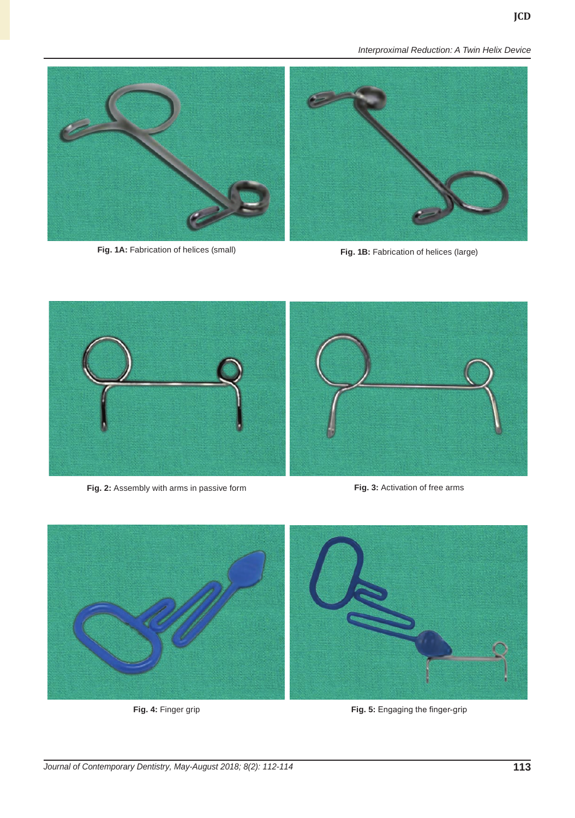*Interproximal Reduction: A Twin Helix Device*



**Fig. 1A:** Fabrication of helices (small) **Fig. 1B:** Fabrication of helices (large)



**Fig. 2:** Assembly with arms in passive form **Fig. 3:** Activation of free arms



**Fig. 4:** Finger grip **Fig. 5:** Engaging the finger-grip